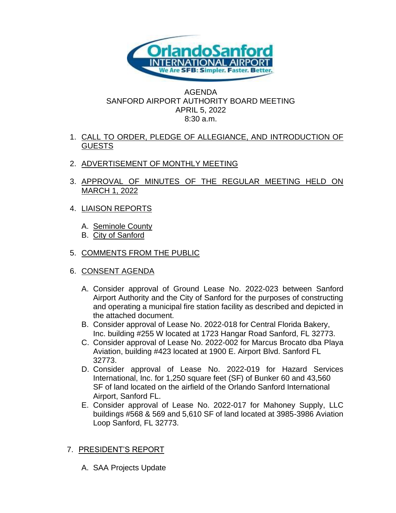

## AGENDA SANFORD AIRPORT AUTHORITY BOARD MEETING APRIL 5, 2022 8:30 a.m.

## 1. CALL TO ORDER, PLEDGE OF ALLEGIANCE, AND INTRODUCTION OF GUESTS

- 2. ADVERTISEMENT OF MONTHLY MEETING
- 3. APPROVAL OF MINUTES OF THE REGULAR MEETING HELD ON MARCH 1, 2022
- 4. LIAISON REPORTS
	- A. Seminole County
	- B. City of Sanford
- 5. COMMENTS FROM THE PUBLIC
- 6. CONSENT AGENDA
	- A. Consider approval of Ground Lease No. 2022-023 between Sanford Airport Authority and the City of Sanford for the purposes of constructing and operating a municipal fire station facility as described and depicted in the attached document.
	- B. Consider approval of Lease No. 2022-018 for Central Florida Bakery, Inc. building #255 W located at 1723 Hangar Road Sanford, FL 32773.
	- C. Consider approval of Lease No. 2022-002 for Marcus Brocato dba Playa Aviation, building #423 located at 1900 E. Airport Blvd. Sanford FL 32773.
	- D. Consider approval of Lease No. 2022-019 for Hazard Services International, Inc. for 1,250 square feet (SF) of Bunker 60 and 43,560 SF of land located on the airfield of the Orlando Sanford International Airport, Sanford FL.
	- E. Consider approval of Lease No. 2022-017 for Mahoney Supply, LLC buildings #568 & 569 and 5,610 SF of land located at 3985-3986 Aviation Loop Sanford, FL 32773.

## 7. PRESIDENT'S REPORT

A. SAA Projects Update